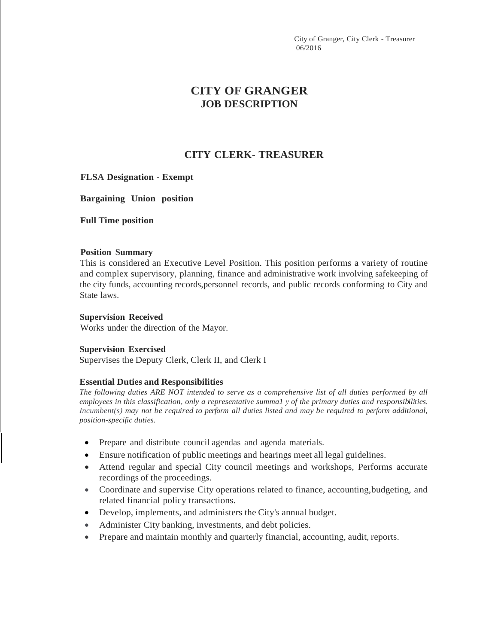City of Granger, City Clerk - Treasurer 06/2016

# **CITY OF GRANGER JOB DESCRIPTION**

## **CITY CLERK- TREASURER**

## **FLSA Designation - Exempt**

**Bargaining Union position**

**Full Time position**

#### **Position Summary**

This is considered an Executive Level Position. This position performs a variety of routine and complex supervisory, planning, finance and administrative work involving safekeeping of the city funds, accounting records,personnel records, and public records conforming to City and State laws.

#### **Supervision Received**

Works under the direction of the Mayor.

#### **Supervision Exercised**

Supervises the Deputy Clerk, Clerk II, and Clerk I

## **Essential Duties and Responsibilities**

*The following duties ARE NOT intended to serve as a comprehensive list of all duties performed by all employees in this classification, only a representative summa1 y of the primary duties and responsibilities. Incumbent(s) may not be required to perform all duties listed and may be required to perform additional, position-specific duties.*

- Prepare and distribute council agendas and agenda materials.
- Ensure notification of public meetings and hearings meet all legal guidelines.
- Attend regular and special City council meetings and workshops, Performs accurate recordings of the proceedings.
- Coordinate and supervise City operations related to finance, accounting, budgeting, and related financial policy transactions.
- Develop, implements, and administers the City's annual budget.
- Administer City banking, investments, and debt policies.
- Prepare and maintain monthly and quarterly financial, accounting, audit, reports.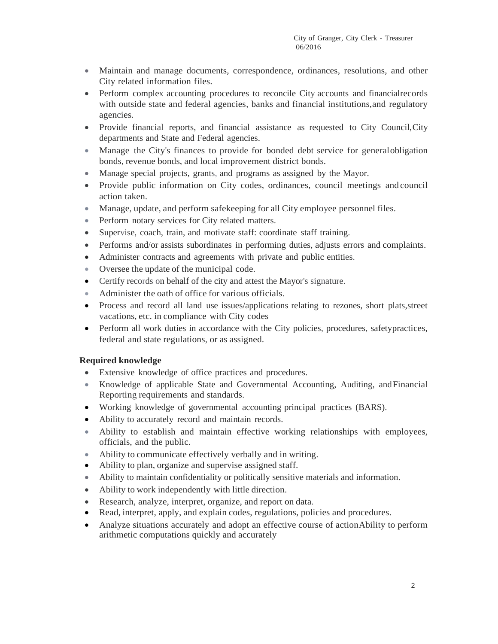- Maintain and manage documents, correspondence, ordinances, resolutions, and other City related information files.
- Perform complex accounting procedures to reconcile City accounts and financialrecords with outside state and federal agencies, banks and financial institutions,and regulatory agencies.
- Provide financial reports, and financial assistance as requested to City Council, City departments and State and Federal agencies.
- Manage the City's finances to provide for bonded debt service for general obligation bonds, revenue bonds, and local improvement district bonds.
- Manage special projects, grants, and programs as assigned by the Mayor.
- Provide public information on City codes, ordinances, council meetings and council action taken.
- Manage, update, and perform safekeeping for all City employee personnel files.
- Perform notary services for City related matters.
- Supervise, coach, train, and motivate staff: coordinate staff training.
- Performs and/or assists subordinates in performing duties, adjusts errors and complaints.
- Administer contracts and agreements with private and public entities.
- Oversee the update of the municipal code.
- Certify records on behalf of the city and attest the Mayor's signature.
- Administer the oath of office for various officials.
- Process and record all land use issues/applications relating to rezones, short plats, street vacations, etc. in compliance with City codes
- Perform all work duties in accordance with the City policies, procedures, safetypractices, federal and state regulations, or as assigned.

## **Required knowledge**

- Extensive knowledge of office practices and procedures.
- Knowledge of applicable State and Governmental Accounting, Auditing, andFinancial Reporting requirements and standards.
- Working knowledge of governmental accounting principal practices (BARS).
- Ability to accurately record and maintain records.
- Ability to establish and maintain effective working relationships with employees, officials, and the public.
- Ability to communicate effectively verbally and in writing.
- Ability to plan, organize and supervise assigned staff.
- Ability to maintain confidentiality or politically sensitive materials and information.
- Ability to work independently with little direction.
- Research, analyze, interpret, organize, and report on data.
- Read, interpret, apply, and explain codes, regulations, policies and procedures.
- Analyze situations accurately and adopt an effective course of actionAbility to perform arithmetic computations quickly and accurately